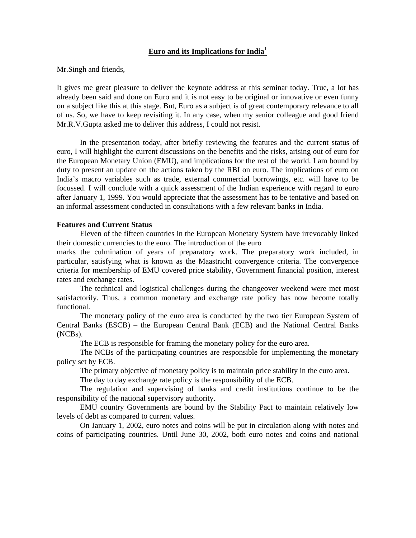# **Euro and its Implications for India<sup>1</sup>**

# Mr.Singh and friends,

It gives me great pleasure to deliver the keynote address at this seminar today. True, a lot has already been said and done on Euro and it is not easy to be original or innovative or even funny on a subject like this at this stage. But, Euro as a subject is of great contemporary relevance to all of us. So, we have to keep revisiting it. In any case, when my senior colleague and good friend Mr.R.V.Gupta asked me to deliver this address, I could not resist.

In the presentation today, after briefly reviewing the features and the current status of euro, I will highlight the current discussions on the benefits and the risks, arising out of euro for the European Monetary Union (EMU), and implications for the rest of the world. I am bound by duty to present an update on the actions taken by the RBI on euro. The implications of euro on India's macro variables such as trade, external commercial borrowings, etc. will have to be focussed. I will conclude with a quick assessment of the Indian experience with regard to euro after January 1, 1999. You would appreciate that the assessment has to be tentative and based on an informal assessment conducted in consultations with a few relevant banks in India.

# **Features and Current Status**

 $\overline{a}$ 

Eleven of the fifteen countries in the European Monetary System have irrevocably linked their domestic currencies to the euro. The introduction of the euro

marks the culmination of years of preparatory work. The preparatory work included, in particular, satisfying what is known as the Maastricht convergence criteria. The convergence criteria for membership of EMU covered price stability, Government financial position, interest rates and exchange rates.

The technical and logistical challenges during the changeover weekend were met most satisfactorily. Thus, a common monetary and exchange rate policy has now become totally functional.

The monetary policy of the euro area is conducted by the two tier European System of Central Banks (ESCB) – the European Central Bank (ECB) and the National Central Banks (NCBs).

The ECB is responsible for framing the monetary policy for the euro area.

The NCBs of the participating countries are responsible for implementing the monetary policy set by ECB.

The primary objective of monetary policy is to maintain price stability in the euro area.

The day to day exchange rate policy is the responsibility of the ECB.

The regulation and supervising of banks and credit institutions continue to be the responsibility of the national supervisory authority.

EMU country Governments are bound by the Stability Pact to maintain relatively low levels of debt as compared to current values.

On January 1, 2002, euro notes and coins will be put in circulation along with notes and coins of participating countries. Until June 30, 2002, both euro notes and coins and national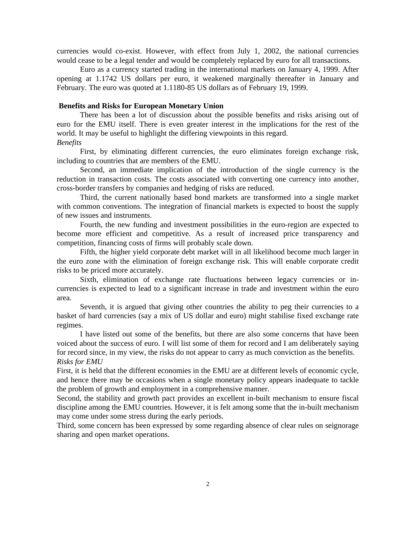currencies would co-exist. However, with effect from July 1, 2002, the national currencies would cease to be a legal tender and would be completely replaced by euro for all transactions.

Euro as a currency started trading in the international markets on January 4, 1999. After opening at 1.1742 US dollars per euro, it weakened marginally thereafter in January and February. The euro was quoted at 1.1180-85 US dollars as of February 19, 1999.

### **Benefits and Risks for European Monetary Union**

There has been a lot of discussion about the possible benefits and risks arising out of euro for the EMU itself. There is even greater interest in the implications for the rest of the world. It may be useful to highlight the differing viewpoints in this regard.

# *Benefits*

First, by eliminating different currencies, the euro eliminates foreign exchange risk, including to countries that are members of the EMU.

Second, an immediate implication of the introduction of the single currency is the reduction in transaction costs. The costs associated with converting one currency into another, cross-border transfers by companies and hedging of risks are reduced.

Third, the current nationally based bond markets are transformed into a single market with common conventions. The integration of financial markets is expected to boost the supply of new issues and instruments.

Fourth, the new funding and investment possibilities in the euro-region are expected to become more efficient and competitive. As a result of increased price transparency and competition, financing costs of firms will probably scale down.

Fifth, the higher yield corporate debt market will in all likelihood become much larger in the euro zone with the elimination of foreign exchange risk. This will enable corporate credit risks to be priced more accurately.

Sixth, elimination of exchange rate fluctuations between legacy currencies or incurrencies is expected to lead to a significant increase in trade and investment within the euro area.

Seventh, it is argued that giving other countries the ability to peg their currencies to a basket of hard currencies (say a mix of US dollar and euro) might stabilise fixed exchange rate regimes.

I have listed out some of the benefits, but there are also some concerns that have been voiced about the success of euro. I will list some of them for record and I am deliberately saying for record since, in my view, the risks do not appear to carry as much conviction as the benefits. *Risks for EMU*

First, it is held that the different economies in the EMU are at different levels of economic cycle, and hence there may be occasions when a single monetary policy appears inadequate to tackle the problem of growth and employment in a comprehensive manner.

Second, the stability and growth pact provides an excellent in-built mechanism to ensure fiscal discipline among the EMU countries. However, it is felt among some that the in-built mechanism may come under some stress during the early periods.

Third, some concern has been expressed by some regarding absence of clear rules on seignorage sharing and open market operations.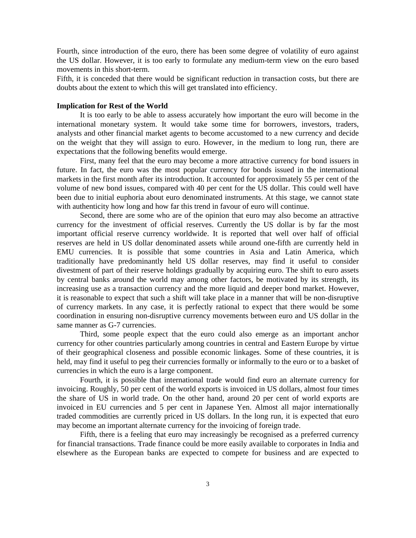Fourth, since introduction of the euro, there has been some degree of volatility of euro against the US dollar. However, it is too early to formulate any medium-term view on the euro based movements in this short-term.

Fifth, it is conceded that there would be significant reduction in transaction costs, but there are doubts about the extent to which this will get translated into efficiency.

### **Implication for Rest of the World**

It is too early to be able to assess accurately how important the euro will become in the international monetary system. It would take some time for borrowers, investors, traders, analysts and other financial market agents to become accustomed to a new currency and decide on the weight that they will assign to euro. However, in the medium to long run, there are expectations that the following benefits would emerge.

First, many feel that the euro may become a more attractive currency for bond issuers in future. In fact, the euro was the most popular currency for bonds issued in the international markets in the first month after its introduction. It accounted for approximately 55 per cent of the volume of new bond issues, compared with 40 per cent for the US dollar. This could well have been due to initial euphoria about euro denominated instruments. At this stage, we cannot state with authenticity how long and how far this trend in favour of euro will continue.

Second, there are some who are of the opinion that euro may also become an attractive currency for the investment of official reserves. Currently the US dollar is by far the most important official reserve currency worldwide. It is reported that well over half of official reserves are held in US dollar denominated assets while around one-fifth are currently held in EMU currencies. It is possible that some countries in Asia and Latin America, which traditionally have predominantly held US dollar reserves, may find it useful to consider divestment of part of their reserve holdings gradually by acquiring euro. The shift to euro assets by central banks around the world may among other factors, be motivated by its strength, its increasing use as a transaction currency and the more liquid and deeper bond market. However, it is reasonable to expect that such a shift will take place in a manner that will be non-disruptive of currency markets. In any case, it is perfectly rational to expect that there would be some coordination in ensuring non-disruptive currency movements between euro and US dollar in the same manner as G-7 currencies.

Third, some people expect that the euro could also emerge as an important anchor currency for other countries particularly among countries in central and Eastern Europe by virtue of their geographical closeness and possible economic linkages. Some of these countries, it is held, may find it useful to peg their currencies formally or informally to the euro or to a basket of currencies in which the euro is a large component.

Fourth, it is possible that international trade would find euro an alternate currency for invoicing. Roughly, 50 per cent of the world exports is invoiced in US dollars, almost four times the share of US in world trade. On the other hand, around 20 per cent of world exports are invoiced in EU currencies and 5 per cent in Japanese Yen. Almost all major internationally traded commodities are currently priced in US dollars. In the long run, it is expected that euro may become an important alternate currency for the invoicing of foreign trade.

Fifth, there is a feeling that euro may increasingly be recognised as a preferred currency for financial transactions. Trade finance could be more easily available to corporates in India and elsewhere as the European banks are expected to compete for business and are expected to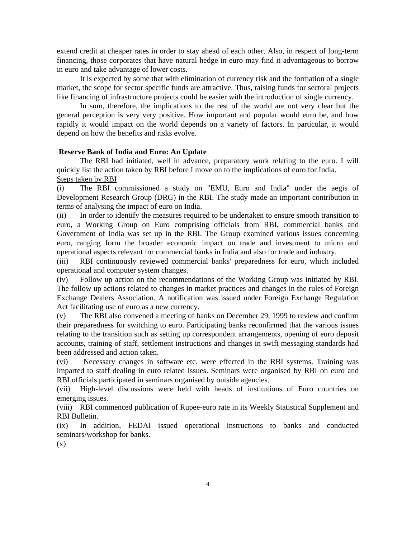extend credit at cheaper rates in order to stay ahead of each other. Also, in respect of long-term financing, those corporates that have natural hedge in euro may find it advantageous to borrow in euro and take advantage of lower costs.

It is expected by some that with elimination of currency risk and the formation of a single market, the scope for sector specific funds are attractive. Thus, raising funds for sectoral projects like financing of infrastructure projects could be easier with the introduction of single currency.

In sum, therefore, the implications to the rest of the world are not very clear but the general perception is very very positive. How important and popular would euro be, and how rapidly it would impact on the world depends on a variety of factors. In particular, it would depend on how the benefits and risks evolve.

# **Reserve Bank of India and Euro: An Update**

The RBI had initiated, well in advance, preparatory work relating to the euro. I will quickly list the action taken by RBI before I move on to the implications of euro for India. Steps taken by RBI

(i) The RBI commissioned a study on "EMU, Euro and India" under the aegis of Development Research Group (DRG) in the RBI. The study made an important contribution in terms of analysing the impact of euro on India.

(ii) In order to identify the measures required to be undertaken to ensure smooth transition to euro, a Working Group on Euro comprising officials from RBI, commercial banks and Government of India was set up in the RBI. The Group examined various issues concerning euro, ranging form the broader economic impact on trade and investment to micro and operational aspects relevant for commercial banks in India and also for trade and industry.

(iii) RBI continuously reviewed commercial banks' preparedness for euro, which included operational and computer system changes.

(iv) Follow up action on the recommendations of the Working Group was initiated by RBI. The follow up actions related to changes in market practices and changes in the rules of Foreign Exchange Dealers Association. A notification was issued under Foreign Exchange Regulation Act facilitating use of euro as a new currency.

(v) The RBI also convened a meeting of banks on December 29, 1999 to review and confirm their preparedness for switching to euro. Participating banks reconfirmed that the various issues relating to the transition such as setting up correspondent arrangements, opening of euro deposit accounts, training of staff, settlement instructions and changes in swift messaging standards had been addressed and action taken.

(vi) Necessary changes in software etc. were effected in the RBI systems. Training was imparted to staff dealing in euro related issues. Seminars were organised by RBI on euro and RBI officials participated in seminars organised by outside agencies.

(vii) High-level discussions were held with heads of institutions of Euro countries on emerging issues.

(viii) RBI commenced publication of Rupee-euro rate in its Weekly Statistical Supplement and RBI Bulletin.

(ix) In addition, FEDAI issued operational instructions to banks and conducted seminars/workshop for banks.

(x)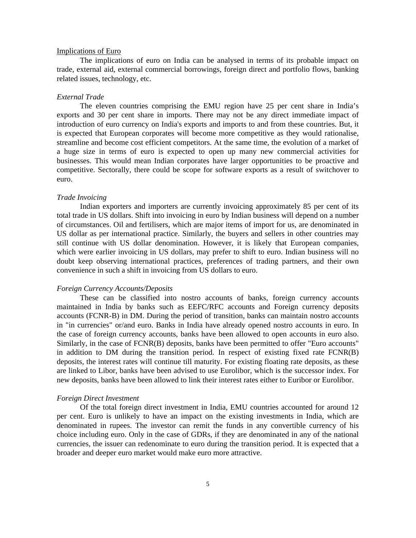## Implications of Euro

The implications of euro on India can be analysed in terms of its probable impact on trade, external aid, external commercial borrowings, foreign direct and portfolio flows, banking related issues, technology, etc.

# *External Trade*

The eleven countries comprising the EMU region have 25 per cent share in India's exports and 30 per cent share in imports. There may not be any direct immediate impact of introduction of euro currency on India's exports and imports to and from these countries. But, it is expected that European corporates will become more competitive as they would rationalise, streamline and become cost efficient competitors. At the same time, the evolution of a market of a huge size in terms of euro is expected to open up many new commercial activities for businesses. This would mean Indian corporates have larger opportunities to be proactive and competitive. Sectorally, there could be scope for software exports as a result of switchover to euro.

#### *Trade Invoicing*

Indian exporters and importers are currently invoicing approximately 85 per cent of its total trade in US dollars. Shift into invoicing in euro by Indian business will depend on a number of circumstances. Oil and fertilisers, which are major items of import for us, are denominated in US dollar as per international practice. Similarly, the buyers and sellers in other countries may still continue with US dollar denomination. However, it is likely that European companies, which were earlier invoicing in US dollars, may prefer to shift to euro. Indian business will no doubt keep observing international practices, preferences of trading partners, and their own convenience in such a shift in invoicing from US dollars to euro.

### *Foreign Currency Accounts/Deposits*

These can be classified into nostro accounts of banks, foreign currency accounts maintained in India by banks such as EEFC/RFC accounts and Foreign currency deposits accounts (FCNR-B) in DM. During the period of transition, banks can maintain nostro accounts in "in currencies" or/and euro. Banks in India have already opened nostro accounts in euro. In the case of foreign currency accounts, banks have been allowed to open accounts in euro also. Similarly, in the case of FCNR(B) deposits, banks have been permitted to offer "Euro accounts" in addition to DM during the transition period. In respect of existing fixed rate FCNR(B) deposits, the interest rates will continue till maturity. For existing floating rate deposits, as these are linked to Libor, banks have been advised to use Eurolibor, which is the successor index. For new deposits, banks have been allowed to link their interest rates either to Euribor or Eurolibor.

#### *Foreign Direct Investment*

Of the total foreign direct investment in India, EMU countries accounted for around 12 per cent. Euro is unlikely to have an impact on the existing investments in India, which are denominated in rupees. The investor can remit the funds in any convertible currency of his choice including euro. Only in the case of GDRs, if they are denominated in any of the national currencies, the issuer can redenominate to euro during the transition period. It is expected that a broader and deeper euro market would make euro more attractive.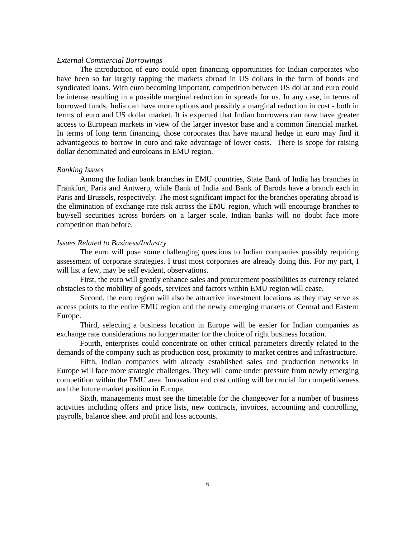# *External Commercial Borrowings*

The introduction of euro could open financing opportunities for Indian corporates who have been so far largely tapping the markets abroad in US dollars in the form of bonds and syndicated loans. With euro becoming important, competition between US dollar and euro could be intense resulting in a possible marginal reduction in spreads for us. In any case, in terms of borrowed funds, India can have more options and possibly a marginal reduction in cost - both in terms of euro and US dollar market. It is expected that Indian borrowers can now have greater access to European markets in view of the larger investor base and a common financial market. In terms of long term financing, those corporates that have natural hedge in euro may find it advantageous to borrow in euro and take advantage of lower costs. There is scope for raising dollar denominated and euroloans in EMU region.

# *Banking Issues*

Among the Indian bank branches in EMU countries, State Bank of India has branches in Frankfurt, Paris and Antwerp, while Bank of India and Bank of Baroda have a branch each in Paris and Brussels, respectively. The most significant impact for the branches operating abroad is the elimination of exchange rate risk across the EMU region, which will encourage branches to buy/sell securities across borders on a larger scale. Indian banks will no doubt face more competition than before.

#### *Issues Related to Business/Industry*

The euro will pose some challenging questions to Indian companies possibly requiring assessment of corporate strategies. I trust most corporates are already doing this. For my part, I will list a few, may be self evident, observations.

First, the euro will greatly enhance sales and procurement possibilities as currency related obstacles to the mobility of goods, services and factors within EMU region will cease.

Second, the euro region will also be attractive investment locations as they may serve as access points to the entire EMU region and the newly emerging markets of Central and Eastern Europe.

Third, selecting a business location in Europe will be easier for Indian companies as exchange rate considerations no longer matter for the choice of right business location.

Fourth, enterprises could concentrate on other critical parameters directly related to the demands of the company such as production cost, proximity to market centres and infrastructure.

Fifth, Indian companies with already established sales and production networks in Europe will face more strategic challenges. They will come under pressure from newly emerging competition within the EMU area. Innovation and cost cutting will be crucial for competitiveness and the future market position in Europe.

Sixth, managements must see the timetable for the changeover for a number of business activities including offers and price lists, new contracts, invoices, accounting and controlling, payrolls, balance sheet and profit and loss accounts.